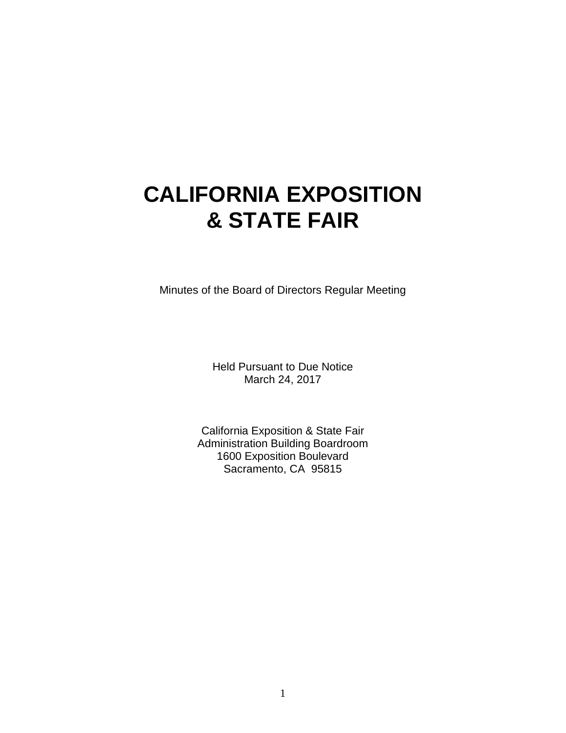# **CALIFORNIA EXPOSITION & STATE FAIR**

Minutes of the Board of Directors Regular Meeting

Held Pursuant to Due Notice March 24, 2017

California Exposition & State Fair Administration Building Boardroom 1600 Exposition Boulevard Sacramento, CA 95815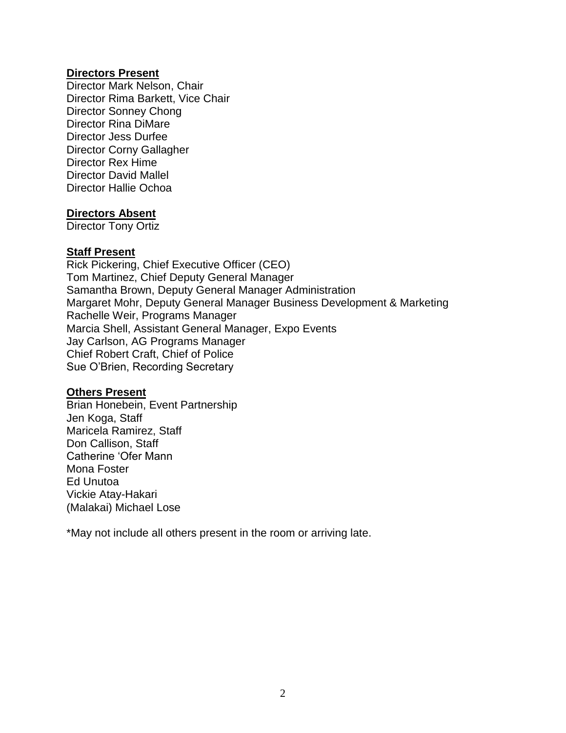#### **Directors Present**

Director Mark Nelson, Chair Director Rima Barkett, Vice Chair Director Sonney Chong Director Rina DiMare Director Jess Durfee Director Corny Gallagher Director Rex Hime Director David Mallel Director Hallie Ochoa

#### **Directors Absent**

Director Tony Ortiz

#### **Staff Present**

Rick Pickering, Chief Executive Officer (CEO) Tom Martinez, Chief Deputy General Manager Samantha Brown, Deputy General Manager Administration Margaret Mohr, Deputy General Manager Business Development & Marketing Rachelle Weir, Programs Manager Marcia Shell, Assistant General Manager, Expo Events Jay Carlson, AG Programs Manager Chief Robert Craft, Chief of Police Sue O'Brien, Recording Secretary

#### **Others Present**

Brian Honebein, Event Partnership Jen Koga, Staff Maricela Ramirez, Staff Don Callison, Staff Catherine 'Ofer Mann Mona Foster Ed Unutoa Vickie Atay-Hakari (Malakai) Michael Lose

\*May not include all others present in the room or arriving late.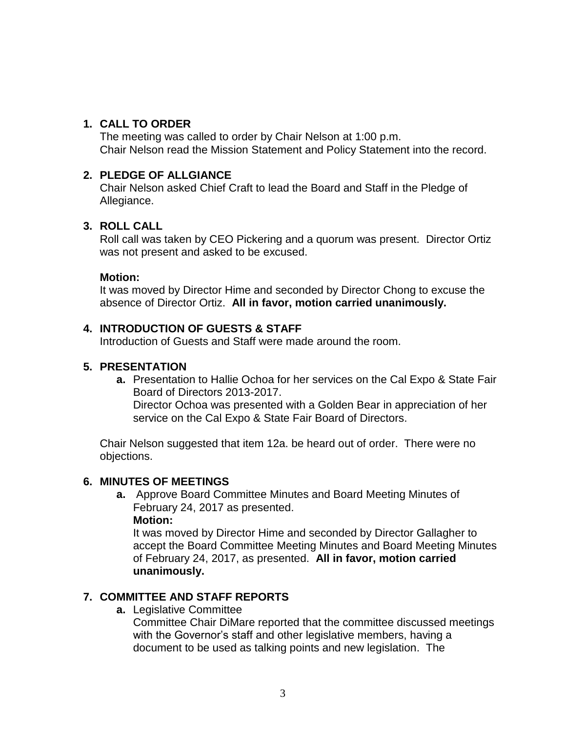#### **1. CALL TO ORDER**

The meeting was called to order by Chair Nelson at 1:00 p.m. Chair Nelson read the Mission Statement and Policy Statement into the record.

#### **2. PLEDGE OF ALLGIANCE**

Chair Nelson asked Chief Craft to lead the Board and Staff in the Pledge of Allegiance.

#### **3. ROLL CALL**

Roll call was taken by CEO Pickering and a quorum was present. Director Ortiz was not present and asked to be excused.

#### **Motion:**

It was moved by Director Hime and seconded by Director Chong to excuse the absence of Director Ortiz. **All in favor, motion carried unanimously.** 

#### **4. INTRODUCTION OF GUESTS & STAFF**

Introduction of Guests and Staff were made around the room.

#### **5. PRESENTATION**

**a.** Presentation to Hallie Ochoa for her services on the Cal Expo & State Fair Board of Directors 2013-2017. Director Ochoa was presented with a Golden Bear in appreciation of her service on the Cal Expo & State Fair Board of Directors.

Chair Nelson suggested that item 12a. be heard out of order. There were no objections.

#### **6. MINUTES OF MEETINGS**

**a.** Approve Board Committee Minutes and Board Meeting Minutes of February 24, 2017 as presented.

#### **Motion:**

It was moved by Director Hime and seconded by Director Gallagher to accept the Board Committee Meeting Minutes and Board Meeting Minutes of February 24, 2017, as presented. **All in favor, motion carried unanimously.**

#### **7. COMMITTEE AND STAFF REPORTS**

**a.** Legislative Committee

Committee Chair DiMare reported that the committee discussed meetings with the Governor's staff and other legislative members, having a document to be used as talking points and new legislation. The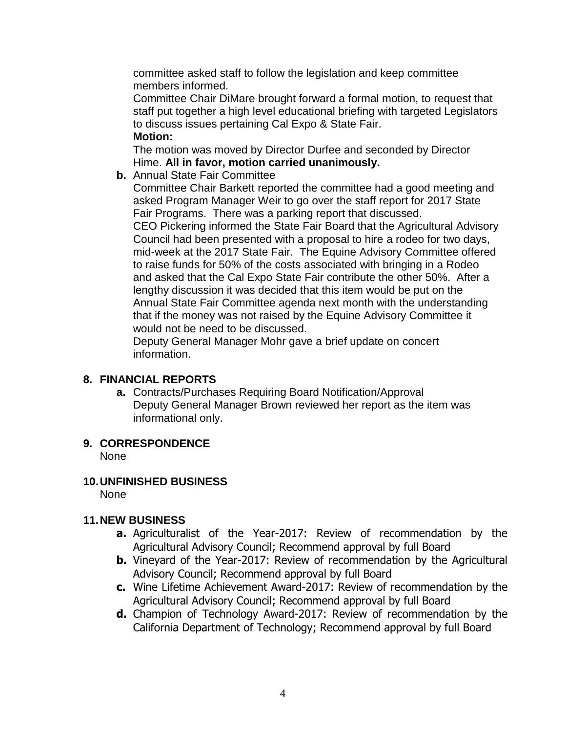committee asked staff to follow the legislation and keep committee members informed.

Committee Chair DiMare brought forward a formal motion, to request that staff put together a high level educational briefing with targeted Legislators to discuss issues pertaining Cal Expo & State Fair. **Motion:**

The motion was moved by Director Durfee and seconded by Director Hime. **All in favor, motion carried unanimously.**

**b.** Annual State Fair Committee

Committee Chair Barkett reported the committee had a good meeting and asked Program Manager Weir to go over the staff report for 2017 State Fair Programs. There was a parking report that discussed.

CEO Pickering informed the State Fair Board that the Agricultural Advisory Council had been presented with a proposal to hire a rodeo for two days, mid-week at the 2017 State Fair. The Equine Advisory Committee offered to raise funds for 50% of the costs associated with bringing in a Rodeo and asked that the Cal Expo State Fair contribute the other 50%. After a lengthy discussion it was decided that this item would be put on the Annual State Fair Committee agenda next month with the understanding that if the money was not raised by the Equine Advisory Committee it would not be need to be discussed.

Deputy General Manager Mohr gave a brief update on concert information.

# **8. FINANCIAL REPORTS**

**a.** Contracts/Purchases Requiring Board Notification/Approval Deputy General Manager Brown reviewed her report as the item was informational only.

# **9. CORRESPONDENCE**

None

# **10.UNFINISHED BUSINESS**

None

# **11.NEW BUSINESS**

- **a.** Agriculturalist of the Year-2017: Review of recommendation by the Agricultural Advisory Council; Recommend approval by full Board
- **b.** Vineyard of the Year-2017: Review of recommendation by the Agricultural Advisory Council; Recommend approval by full Board
- **c.** Wine Lifetime Achievement Award-2017: Review of recommendation by the Agricultural Advisory Council; Recommend approval by full Board
- **d.** Champion of Technology Award-2017: Review of recommendation by the California Department of Technology; Recommend approval by full Board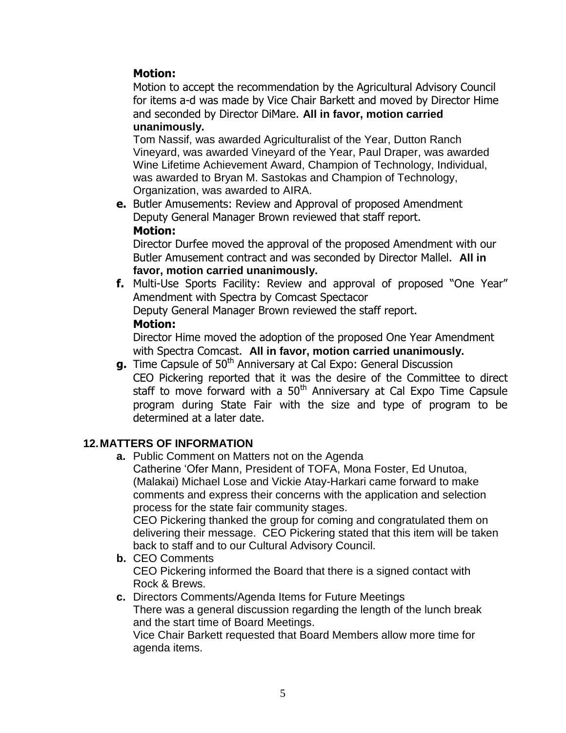# **Motion:**

Motion to accept the recommendation by the Agricultural Advisory Council for items a-d was made by Vice Chair Barkett and moved by Director Hime and seconded by Director DiMare. **All in favor, motion carried unanimously.**

Tom Nassif, was awarded Agriculturalist of the Year, Dutton Ranch Vineyard, was awarded Vineyard of the Year, Paul Draper, was awarded Wine Lifetime Achievement Award, Champion of Technology, Individual, was awarded to Bryan M. Sastokas and Champion of Technology, Organization, was awarded to AIRA.

**e.** Butler Amusements: Review and Approval of proposed Amendment Deputy General Manager Brown reviewed that staff report. **Motion:**

Director Durfee moved the approval of the proposed Amendment with our Butler Amusement contract and was seconded by Director Mallel. **All in favor, motion carried unanimously.**

**f.** Multi-Use Sports Facility: Review and approval of proposed "One Year" Amendment with Spectra by Comcast Spectacor Deputy General Manager Brown reviewed the staff report. **Motion:**

Director Hime moved the adoption of the proposed One Year Amendment with Spectra Comcast. **All in favor, motion carried unanimously.**

**g.** Time Capsule of 50<sup>th</sup> Anniversary at Cal Expo: General Discussion

CEO Pickering reported that it was the desire of the Committee to direct staff to move forward with a 50<sup>th</sup> Anniversary at Cal Expo Time Capsule program during State Fair with the size and type of program to be determined at a later date.

# **12.MATTERS OF INFORMATION**

**a.** Public Comment on Matters not on the Agenda

Catherine 'Ofer Mann, President of TOFA, Mona Foster, Ed Unutoa, (Malakai) Michael Lose and Vickie Atay-Harkari came forward to make comments and express their concerns with the application and selection process for the state fair community stages.

CEO Pickering thanked the group for coming and congratulated them on delivering their message. CEO Pickering stated that this item will be taken back to staff and to our Cultural Advisory Council.

**b.** CEO Comments CEO Pickering informed the Board that there is a signed contact with Rock & Brews.

#### **c.** Directors Comments/Agenda Items for Future Meetings

There was a general discussion regarding the length of the lunch break and the start time of Board Meetings.

Vice Chair Barkett requested that Board Members allow more time for agenda items.